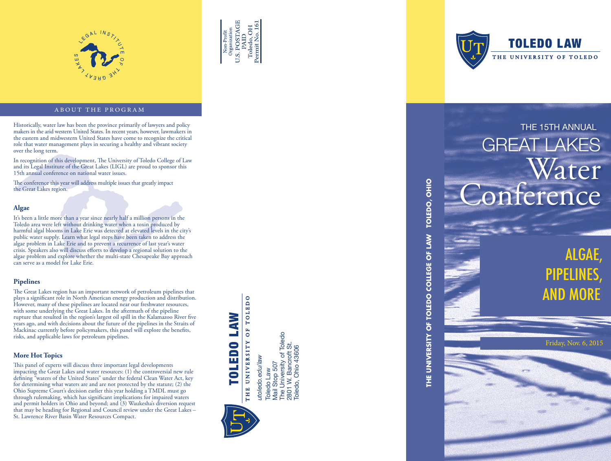



### ABOUT THE PROGRAM

Historically, water law has been the province primarily of lawyers and policy and policy and policy and policy and the arid western United States. In recent years, however, lawmakers in the arid western United States. In r the eastern and midwestern United States have come to recognize the critical role that water management plays in securing a healthy and vibrant society over the long term.

In recognition of this development, The University of Toledo College of Law and its Legal Institute of the Great Lakes (LIGL) are proud to sponsor this 15th annual conference on national water issues.

The conference this year will address multiple issues that greatly impact the Great Lakes region.

### **Algae**

It's been a little more than a year since nearly half a million persons in the Toledo area were left without drinking water when a toxin produced by harmful algal blooms in Lake Erie was detected at elevated levels in the city's public water supply. Learn what legal steps have been taken to address the algae problem in Lake Erie and to prevent a recurrence of last year's water crisis. Speakers also will discuss efforts to develop a regional solution to the algae problem and explore whether the multi-state Chesapeake Bay approach can serve as a model for Lake Erie.

### **Pipelines**

The Great Lakes region has an important network of petroleum pipelines that plays a significant role in North American energy production and distribution. However, many of these pipelines are located near our freshwater resources, with some underlying the Great Lakes. In the aftermath of the pipeline rupture that resulted in the region's largest oil spill in the Kalamazoo River five years ago, and with decisions about the future of the pipelines in the Straits of Mackinac currently before policymakers, this panel will explore the benefits, risks, and applicable laws for petroleum pipelines.

### **More Hot Topics**

This panel of experts will discuss three important legal developments impacting the Great Lakes and water resources: (1) the controversial new rule defining "waters of the United States" under the federal Clean Water Act, key for determining what waters are and are not protected by the statute; (2) the Ohio Supreme Court's decision earlier this year holding a TMDL must go through rulemaking, which has significant implications for impaired waters and permit holders in Ohio and beyond; and  $(3)$  Waukesha's diversion request that may be heading for Regional and Council review under the Great Lakes – St. Lawrence River Basin Water Resources Compact.

OF TOLEDO TOLEDO LAW Toledo Law<br>Mail Stop 507<br>The University of Toledo<br>2801 W. Bancroft St.<br>Toledo, Ohio 43606 The University of Toledo THE UNIVERSITY utoledo.edu/law *utoledo.edu/law* Mail Stop 507 Toledo Law

2801 W. Bancroft St. Toledo, Ohio 43606



**TOLEDO LAW** THE UNIVERSITY OF TOLEDO

## GREAT LAKES Water nference

**THE UNIVERSITY OF TOLEDO COLLEGE OF LAW TOLEDO, OHIO**

THE UNIVERSITY OF TOLEDO COLLEGE OF LAW

TOLEDO, OHIO

ALGAE, PIPELINES, AND MORE

Friday, Nov. 6, 2015